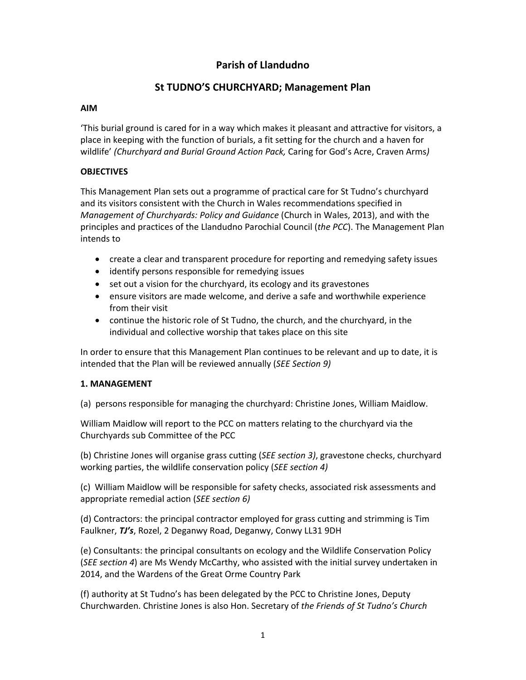# **Parish of Llandudno**

# **St TUDNO'S CHURCHYARD; Management Plan**

### **AIM**

'This burial ground is cared for in a way which makes it pleasant and attractive for visitors, a place in keeping with the function of burials, a fit setting for the church and a haven for wildlife' *(Churchyard and Burial Ground Action Pack,* Caring for God's Acre, Craven Arms*)*

# **OBJECTIVES**

This Management Plan sets out a programme of practical care for St Tudno's churchyard and its visitors consistent with the Church in Wales recommendations specified in *Management of Churchyards: Policy and Guidance* (Church in Wales, 2013), and with the principles and practices of the Llandudno Parochial Council (*the PCC*). The Management Plan intends to

- create a clear and transparent procedure for reporting and remedying safety issues
- identify persons responsible for remedying issues
- set out a vision for the churchyard, its ecology and its gravestones
- ensure visitors are made welcome, and derive a safe and worthwhile experience from their visit
- continue the historic role of St Tudno, the church, and the churchyard, in the individual and collective worship that takes place on this site

In order to ensure that this Management Plan continues to be relevant and up to date, it is intended that the Plan will be reviewed annually (*SEE Section 9)*

## **1. MANAGEMENT**

(a) persons responsible for managing the churchyard: Christine Jones, William Maidlow.

William Maidlow will report to the PCC on matters relating to the churchyard via the Churchyards sub Committee of the PCC

(b) Christine Jones will organise grass cutting (*SEE section 3)*, gravestone checks, churchyard working parties, the wildlife conservation policy (*SEE section 4)*

(c) William Maidlow will be responsible for safety checks, associated risk assessments and appropriate remedial action (*SEE section 6)*

(d) Contractors: the principal contractor employed for grass cutting and strimming is Tim Faulkner, *TJ's*, Rozel, 2 Deganwy Road, Deganwy, Conwy LL31 9DH

(e) Consultants: the principal consultants on ecology and the Wildlife Conservation Policy (*SEE section 4*) are Ms Wendy McCarthy, who assisted with the initial survey undertaken in 2014, and the Wardens of the Great Orme Country Park

(f) authority at St Tudno's has been delegated by the PCC to Christine Jones, Deputy Churchwarden. Christine Jones is also Hon. Secretary of *the Friends of St Tudno's Church*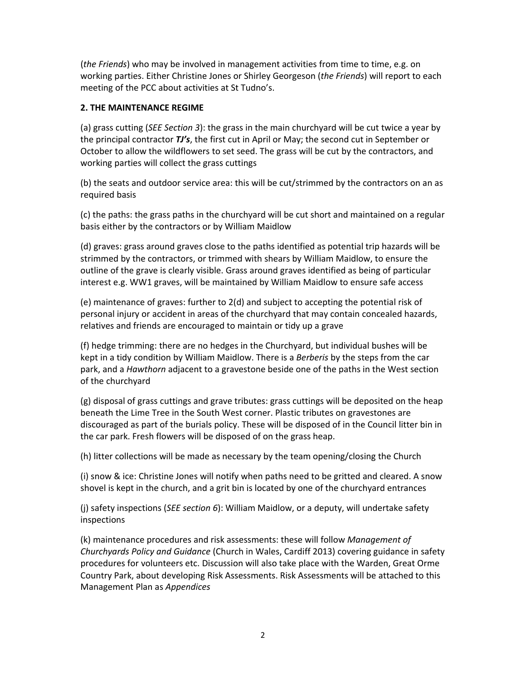(*the Friends*) who may be involved in management activities from time to time, e.g. on working parties. Either Christine Jones or Shirley Georgeson (*the Friends*) will report to each meeting of the PCC about activities at St Tudno's.

## **2. THE MAINTENANCE REGIME**

(a) grass cutting (*SEE Section 3*): the grass in the main churchyard will be cut twice a year by the principal contractor *TJ's*, the first cut in April or May; the second cut in September or October to allow the wildflowers to set seed. The grass will be cut by the contractors, and working parties will collect the grass cuttings

(b) the seats and outdoor service area: this will be cut/strimmed by the contractors on an as required basis

(c) the paths: the grass paths in the churchyard will be cut short and maintained on a regular basis either by the contractors or by William Maidlow

(d) graves: grass around graves close to the paths identified as potential trip hazards will be strimmed by the contractors, or trimmed with shears by William Maidlow, to ensure the outline of the grave is clearly visible. Grass around graves identified as being of particular interest e.g. WW1 graves, will be maintained by William Maidlow to ensure safe access

(e) maintenance of graves: further to 2(d) and subject to accepting the potential risk of personal injury or accident in areas of the churchyard that may contain concealed hazards, relatives and friends are encouraged to maintain or tidy up a grave

(f) hedge trimming: there are no hedges in the Churchyard, but individual bushes will be kept in a tidy condition by William Maidlow. There is a *Berberis* by the steps from the car park, and a *Hawthorn* adjacent to a gravestone beside one of the paths in the West section of the churchyard

(g) disposal of grass cuttings and grave tributes: grass cuttings will be deposited on the heap beneath the Lime Tree in the South West corner. Plastic tributes on gravestones are discouraged as part of the burials policy. These will be disposed of in the Council litter bin in the car park. Fresh flowers will be disposed of on the grass heap.

(h) litter collections will be made as necessary by the team opening/closing the Church

(i) snow & ice: Christine Jones will notify when paths need to be gritted and cleared. A snow shovel is kept in the church, and a grit bin is located by one of the churchyard entrances

(j) safety inspections (*SEE section 6*): William Maidlow, or a deputy, will undertake safety inspections

(k) maintenance procedures and risk assessments: these will follow *Management of Churchyards Policy and Guidance* (Church in Wales, Cardiff 2013) covering guidance in safety procedures for volunteers etc. Discussion will also take place with the Warden, Great Orme Country Park, about developing Risk Assessments. Risk Assessments will be attached to this Management Plan as *Appendices*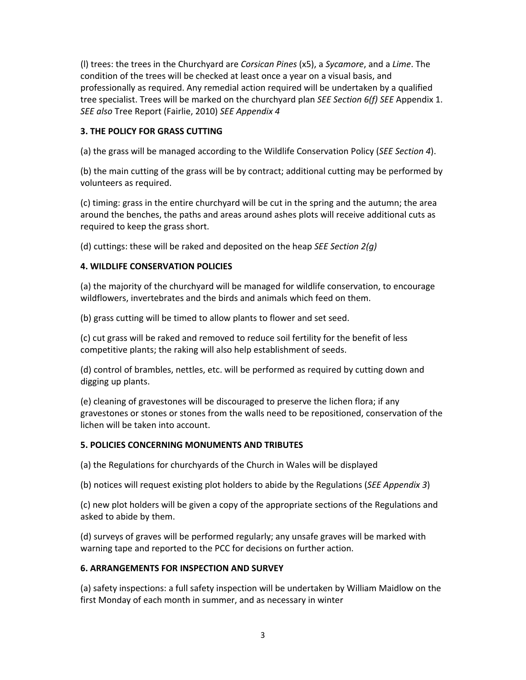(l) trees: the trees in the Churchyard are *Corsican Pines* (x5), a *Sycamore*, and a *Lime*. The condition of the trees will be checked at least once a year on a visual basis, and professionally as required. Any remedial action required will be undertaken by a qualified tree specialist. Trees will be marked on the churchyard plan *SEE Section 6(f) SEE* Appendix 1. *SEE also* Tree Report (Fairlie, 2010) *SEE Appendix 4*

## **3. THE POLICY FOR GRASS CUTTING**

(a) the grass will be managed according to the Wildlife Conservation Policy (*SEE Section 4*).

(b) the main cutting of the grass will be by contract; additional cutting may be performed by volunteers as required.

(c) timing: grass in the entire churchyard will be cut in the spring and the autumn; the area around the benches, the paths and areas around ashes plots will receive additional cuts as required to keep the grass short.

(d) cuttings: these will be raked and deposited on the heap *SEE Section 2(g)*

## **4. WILDLIFE CONSERVATION POLICIES**

(a) the majority of the churchyard will be managed for wildlife conservation, to encourage wildflowers, invertebrates and the birds and animals which feed on them.

(b) grass cutting will be timed to allow plants to flower and set seed.

(c) cut grass will be raked and removed to reduce soil fertility for the benefit of less competitive plants; the raking will also help establishment of seeds.

(d) control of brambles, nettles, etc. will be performed as required by cutting down and digging up plants.

(e) cleaning of gravestones will be discouraged to preserve the lichen flora; if any gravestones or stones or stones from the walls need to be repositioned, conservation of the lichen will be taken into account.

#### **5. POLICIES CONCERNING MONUMENTS AND TRIBUTES**

(a) the Regulations for churchyards of the Church in Wales will be displayed

(b) notices will request existing plot holders to abide by the Regulations (*SEE Appendix 3*)

(c) new plot holders will be given a copy of the appropriate sections of the Regulations and asked to abide by them.

(d) surveys of graves will be performed regularly; any unsafe graves will be marked with warning tape and reported to the PCC for decisions on further action.

#### **6. ARRANGEMENTS FOR INSPECTION AND SURVEY**

(a) safety inspections: a full safety inspection will be undertaken by William Maidlow on the first Monday of each month in summer, and as necessary in winter